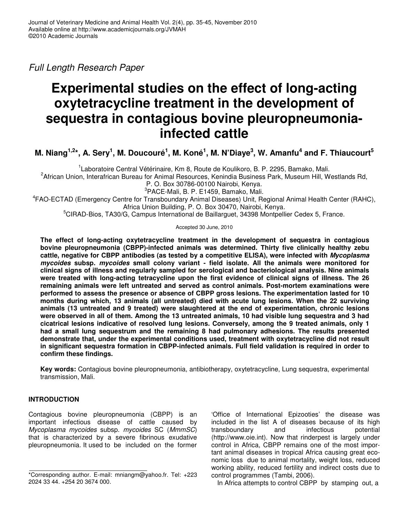*Full Length Research Paper*

# **Experimental studies on the effect of long-acting oxytetracycline treatment in the development of sequestra in contagious bovine pleuropneumoniainfected cattle**

M. Niang<sup>1,2</sup>\*, A. Sery<sup>1</sup>, M. Doucouré<sup>1</sup>, M. Koné<sup>1</sup>, M. N'Diaye<sup>3</sup>, W. Amanfu<sup>4</sup> and F. Thiaucourt<sup>5</sup>

<sup>1</sup> Laboratoire Central Vétérinaire, Km 8, Route de Koulikoro, B. P. 2295, Bamako, Mali.

<sup>2</sup>African Union, Interafrican Bureau for Animal Resources, Kenindia Business Park, Museum Hill, Westlands Rd,

P. O. Box 30786-00100 Nairobi, Kenya.

3 PACE-Mali, B. P. E1459, Bamako, Mali.

4 FAO-ECTAD (Emergency Centre for Transboundary Animal Diseases) Unit, Regional Animal Health Center (RAHC), Africa Union Building, P. O. Box 30470, Nairobi, Kenya.

<sup>5</sup>CIRAD-Bios, TA30/G, Campus International de Baillarguet, 34398 Montpellier Cedex 5, France.

Accepted 30 June, 2010

**The effect of long-acting oxytetracycline treatment in the development of sequestra in contagious bovine pleuropneumonia (CBPP)-infected animals was determined. Thirty five clinically healthy zebu cattle, negative for CBPP antibodies (as tested by a competitive ELISA), were infected with** *Mycoplasma mycoides* **subsp.** *mycoides* **small colony variant - field isolate. All the animals were monitored for clinical signs of illness and regularly sampled for serological and bacteriological analysis. Nine animals were treated with long-acting tetracycline upon the first evidence of clinical signs of illness. The 26 remaining animals were left untreated and served as control animals. Post-mortem examinations were performed to assess the presence or absence of CBPP gross lesions. The experimentation lasted for 10 months during which, 13 animals (all untreated) died with acute lung lesions. When the 22 surviving animals (13 untreated and 9 treated) were slaughtered at the end of experimentation, chronic lesions** were observed in all of them. Among the 13 untreated animals, 10 had visible lung sequestra and 3 had **cicatrical lesions indicative of resolved lung lesions. Conversely, among the 9 treated animals, only 1 had a small lung sequestrum and the remaining 8 had pulmonary adhesions. The results presented demonstrate that, under the experimental conditions used, treatment with oxytetracycline did not result in significant sequestra formation in CBPP-infected animals. Full field validation is required in order to confirm these findings.**

**Key words:** Contagious bovine pleuropneumonia, antibiotherapy, oxytetracycline, Lung sequestra, experimental transmission, Mali.

# **INTRODUCTION**

Contagious bovine pleuropneumonia (CBPP) is an important infectious disease of cattle caused by *Mycoplasma mycoides* subsp. *mycoides* SC (*MmmSC*) that is characterized by a severe fibrinous exudative pleuropneumonia. It used to be included on the former

'Office of International Epizooties' the disease was included in the list A of diseases because of its high transboundary and infectious potential (http://www.oie.int). Now that rinderpest is largely under control in Africa, CBPP remains one of the most important animal diseases in tropical Africa causing great economic loss due to animal mortality, weight loss, reduced working ability, reduced fertility and indirect costs due to control programmes (Tambi, 2006).

In Africa attempts to control CBPP by stamping out, a

<sup>\*</sup>Corresponding author. E-mail: mniangm@yahoo.fr. Tel: +223 2024 33 44. +254 20 3674 000.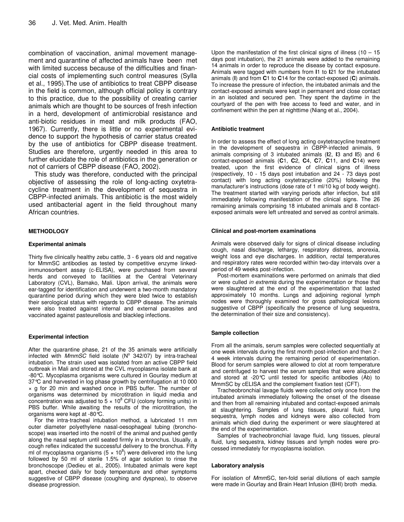combination of vaccination, animal movement management and quarantine of affected animals have been met with limited success because of the difficulties and financial costs of implementing such control measures (Sylla et al., 1995).The use of antibiotics to treat CBPP disease in the field is common, although official policy is contrary to this practice, due to the possibility of creating carrier animals which are thought to be sources of fresh infection in a herd, development of antimicrobial resistance and anti-biotic residues in meat and milk products (FAO, 1967). Currently, there is little or no experimental evidence to support the hypothesis of carrier status created by the use of antibiotics for CBPP disease treatment. Studies are therefore, urgently needed in this area to further elucidate the role of antibiotics in the generation or not of carriers of CBPP disease (FAO, 2002).

This study was therefore, conducted with the principal objective of assessing the role of long-acting oxytetracycline treatment in the development of sequestra in CBPP-infected animals. This antibiotic is the most widely used antibacterial agent in the field throughout many African countries.

## **METHODLOGY**

#### **Experimental animals**

Thirty five clinically healthy zebu cattle, 3 - 6 years old and negative for MmmSC antibodies as tested by competitive enzyme linkedimmunosorbent assay (c-ELISA), were purchased from several herds and conveyed to facilities at the Central Veterinary Laboratory (CVL), Bamako, Mali. Upon arrival, the animals were ear-tagged for identification and underwent a two-month mandatory quarantine period during which they were bled twice to establish their serological status with regards to CBPP disease. The animals were also treated against internal and external parasites and vaccinated against pasteurellosis and blackleg infections.

#### **Experimental infection**

After the quarantine phase, 21 of the 35 animals were artificially infected with *MmmSC* field isolate (N° 342/07) by intra-tracheal intubation. The strain used was isolated from an active CBPP field outbreak in Mali and stored at the CVL mycoplasma isolate bank at -80°C. Mycoplasma organisms were cultured in Gourlay medium at 37°C and harvested in log phase growth by centrifugation at 10 000 × g for 20 min and washed once in PBS buffer. The number of organisms was determined by microtitration in liquid media and concentration was adjusted to  $5 \times 10^8$  CFU (colony forming units) in PBS buffer. While awaiting the results of the microtitration, the organisms were kept at -80°C.

For the intra-tracheal intubation method, a lubricated 11 mm outer diameter polyethylene nasal-oesophageal tubing (bronchoscope) was inserted into the nostril of the animal and pushed gently along the nasal septum until seated firmly in a bronchus. Usually, a cough reflex indicated the successful delivery to the bronchus. Fifty ml of mycoplasma organisms (5  $\times$  10<sup>8</sup>) were delivered into the lung followed by 50 ml of sterile 1.5% of agar solution to rinse the bronchoscope (Dedieu et al., 2005). Intubated animals were kept apart, checked daily for body temperature and other symptoms suggestive of CBPP disease (coughing and dyspnea), to observe disease progression.

Upon the manifestation of the first clinical signs of illness  $(10 - 15)$ days post intubation), the 21 animals were added to the remaining 14 animals in order to reproduce the disease by contact exposure. Animals were tagged with numbers from **I**1 to **I**21 for the intubated animals (**I**) and from **C**1 to **C**14 for the contact-exposed (**C**) animals. To increase the pressure of infection, the intubated animals and the contact-exposed animals were kept in permanent and close contact in an isolated and secured pen. They spent the daytime in the courtyard of the pen with free access to feed and water, and in confinement within the pen at nighttime (Niang et al., 2004).

#### **Antibiotic treatment**

In order to assess the effect of long acting oxytetracycline treatment in the development of sequestra in CBPP-infected animals, 9 animals comprising of 3 intubated animals (**I**2, **I**3 and **I**5) and 6 contact-exposed animals (**C**1, **C**2, **C**4, **C**7, **C**11, and **C**14) were treated, upon the first evidence of clinical signs of illness (respectively, 10 - 15 days post intubation and 24 - 73 days post contact) with long acting oxytetracycline (20%) following the manufacturer's instructions (dose rate of 1 ml/10 kg of body weight). The treatment started with varying periods after infection, but still immediately following manifestation of the clinical signs. The 26 remaining animals comprising 18 intubated animals and 8 contactexposed animals were left untreated and served as control animals.

#### **Clinical and post-mortem examinations**

Animals were observed daily for signs of clinical disease including cough, nasal discharge, lethargy, respiratory distress, anorexia, weight loss and eye discharges. In addition, rectal temperatures and respiratory rates were recorded within two-day intervals over a period of 49 weeks post-infection.

Post-mortem examinations were performed on animals that died or were culled *in extremis* during the experimentation or those that were slaughtered at the end of the experimentation that lasted approximately 10 months. Lungs and adjoining regional lymph nodes were thoroughly examined for gross pathological lesions suggestive of CBPP (specifically the presence of lung sequestra, the determination of their size and consistency).

#### **Sample collection**

From all the animals, serum samples were collected sequentially at one week intervals during the first month post-infection and then 2 - 4 week intervals during the remaining period of experimentation. Blood for serum samples were allowed to clot at room temperature and centrifuged to harvest the serum samples that were aliquoted and stored at -20°C until tested for specific antibodies (Ab) to MmmSC by cELISA and the complement fixation test (CFT).

Tracheobronchial lavage fluids were collected only once from the intubated animals immediately following the onset of the disease and then from all remaining intubated and contact-exposed animals at slaughtering. Samples of lung tissues, pleural fluid, lung sequestra, lymph nodes and kidneys were also collected from animals which died during the experiment or were slaughtered at the end of the experimentation.

Samples of tracheobronchial lavage fluid, lung tissues, pleural fluid, lung sequestra, kidney tissues and lymph nodes were processed immediately for mycoplasma isolation.

#### **Laboratory analysis**

For isolation of *Mmm*SC, ten-fold serial dilutions of each sample were made in Gourlay and Brain Heart Infusion (BHI) broth media.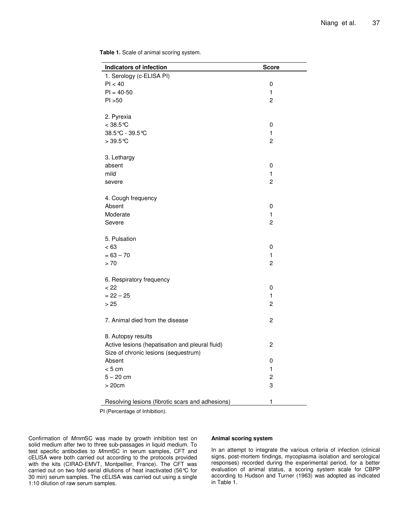÷.

| <b>Indicators of infection</b>                   | <b>Score</b>   |
|--------------------------------------------------|----------------|
| 1. Serology (c-ELISA PI)                         |                |
| PI < 40                                          | 0              |
| $PI = 40-50$                                     | $\mathbf{1}$   |
| PI > 50                                          | $\overline{c}$ |
|                                                  |                |
| 2. Pyrexia                                       |                |
| $< 38.5$ ℃                                       | 0              |
| 38.5℃ - 39.5℃                                    | $\mathbf{1}$   |
| $>39.5^{\circ}$ C                                | $\overline{c}$ |
|                                                  |                |
| 3. Lethargy                                      |                |
| absent                                           | 0              |
| mild                                             | $\mathbf{1}$   |
| severe                                           | $\overline{c}$ |
|                                                  |                |
| 4. Cough frequency                               |                |
| Absent                                           | 0              |
| Moderate                                         | 1              |
| Severe                                           | $\overline{c}$ |
|                                                  |                |
| 5. Pulsation                                     |                |
| < 63                                             | 0              |
| $= 63 - 70$                                      | $\mathbf{1}$   |
| > 70                                             | $\overline{2}$ |
|                                                  |                |
| 6. Respiratory frequency                         |                |
| < 22                                             | 0              |
| $= 22 - 25$                                      | $\mathbf{1}$   |
| > 25                                             | $\overline{c}$ |
|                                                  |                |
| 7. Animal died from the disease                  | $\overline{c}$ |
|                                                  |                |
| 8. Autopsy results                               |                |
| Active lesions (hepatisation and pleural fluid)  | 2              |
| Size of chronic lesions (sequestrum)             |                |
| Absent                                           | 0              |
| < 5 cm                                           | 1              |
| $5 - 20$ cm                                      | $\overline{c}$ |
| >20cm                                            | 3              |
|                                                  |                |
| Resolving lesions (fibrotic scars and adhesions) | 1              |

**Table 1.** Scale of animal scoring system.

PI (Percentage of Inhibition).

Confirmation of *Mmm*SC was made by growth inhibition test on solid medium after two to three sub-passages in liquid medium. To test specific antibodies to *Mmm*SC in serum samples, CFT and cELISA were both carried out according to the protocols provided with the kits (CIRAD-EMVT, Montpellier, France). The CFT was carried out on two fold serial dilutions of heat inactivated (56°C for 30 min) serum samples. The cELISA was carried out using a single 1:10 dilution of raw serum samples.

## **Animal scoring system**

In an attempt to integrate the various criteria of infection (clinical signs, post-mortem findings, mycoplasma isolation and serological responses) recorded during the experimental period, for a better evaluation of animal status, a scoring system scale for CBPP according to Hudson and Turner (1963) was adopted as indicated in Table 1.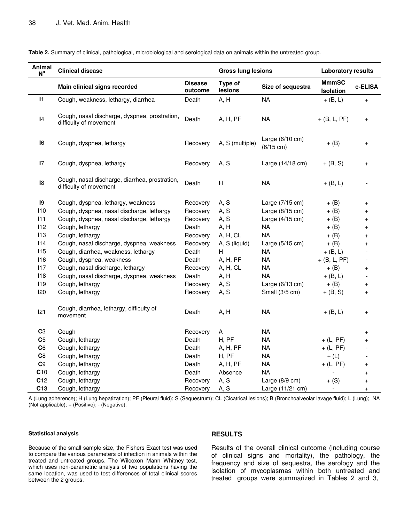| Animal<br>$N^{\circ}$ | <b>Clinical disease</b>                                                  |                           | <b>Gross lung lesions</b> |                                        | <b>Laboratory results</b>        |                                  |
|-----------------------|--------------------------------------------------------------------------|---------------------------|---------------------------|----------------------------------------|----------------------------------|----------------------------------|
|                       | Main clinical signs recorded                                             | <b>Disease</b><br>outcome | Type of<br>lesions        | Size of sequestra                      | <b>MmmSC</b><br><b>Isolation</b> | c-ELISA                          |
| $\mathbf{I}$          | Cough, weakness, lethargy, diarrhea                                      | Death                     | A, H                      | NA                                     | $+$ (B, L)                       | $\begin{array}{c} + \end{array}$ |
| $\mathsf{I}4$         | Cough, nasal discharge, dyspnea, prostration,<br>difficulty of movement  | Death                     | A, H, PF                  | <b>NA</b>                              | $+$ (B, L, PF)                   | $\ddot{}$                        |
| 16                    | Cough, dyspnea, lethargy                                                 | Recovery                  | A, S (multiple)           | Large $(6/10 \text{ cm})$<br>(6/15 cm) | $+$ (B)                          | $\ddot{}$                        |
| 17                    | Cough, dyspnea, lethargy                                                 | Recovery                  | A, S                      | Large (14/18 cm)                       | $+ (B, S)$                       | $\ddot{}$                        |
| $\mathsf{I}8$         | Cough, nasal discharge, diarrhea, prostration,<br>difficulty of movement | Death                     | H                         | <b>NA</b>                              | $+$ (B, L)                       |                                  |
| 19                    | Cough, dyspnea, lethargy, weakness                                       | Recovery                  | A, S                      | Large (7/15 cm)                        | $+$ (B)                          | $\ddot{}$                        |
| 110                   | Cough, dyspnea, nasal discharge, lethargy                                | Recovery                  | A, S                      | Large $(8/15 \text{ cm})$              | $+$ (B)                          | $^{+}$                           |
| 111                   | Cough, dyspnea, nasal discharge, lethargy                                | Recovery                  | A, S                      | Large (4/15 cm)                        | $+$ (B)                          | $^{+}$                           |
| 112                   | Cough, lethargy                                                          | Death                     | A, H                      | <b>NA</b>                              | $+$ (B)                          | $^{+}$                           |
| 113                   | Cough, lethargy                                                          | Recovery                  | A, H, CL                  | <b>NA</b>                              | $+$ (B)                          | $^{+}$                           |
| 114                   | Cough, nasal discharge, dyspnea, weakness                                | Recovery                  | A, S (liquid)             | Large $(5/15 \text{ cm})$              | $+$ (B)                          | $^{+}$                           |
| <b>I15</b>            | Cough, diarrhea, weakness, lethargy                                      | Death                     | H                         | <b>NA</b>                              | $+$ (B, L)                       |                                  |
| <b>I16</b>            | Cough, dyspnea, weakness                                                 | Death                     | A, H, PF                  | <b>NA</b>                              | $+$ (B, L, PF)                   |                                  |
| 117                   | Cough, nasal discharge, lethargy                                         | Recovery                  | A, H, CL                  | <b>NA</b>                              | $+$ (B)                          | $^{+}$                           |
| 118                   | Cough, nasal discharge, dyspnea, weakness                                | Death                     | A, H                      | <b>NA</b>                              | $+$ (B, L)                       |                                  |
| <b>I19</b>            | Cough, lethargy                                                          | Recovery                  | A, S                      | Large $(6/13 \text{ cm})$              | $+$ (B)                          | $\overline{+}$                   |
| 120                   | Cough, lethargy                                                          | Recovery                  | A, S                      | Small (3/5 cm)                         | $+$ (B, S)                       | $\ddot{}$                        |
| 121                   | Cough, diarrhea, lethargy, difficulty of<br>movement                     | Death                     | A, H                      | <b>NA</b>                              | $+$ (B, L)                       | $\begin{array}{c} + \end{array}$ |
| C <sub>3</sub>        | Cough                                                                    | Recovery                  | Α                         | <b>NA</b>                              |                                  | $\overline{+}$                   |
| C <sub>5</sub>        | Cough, lethargy                                                          | Death                     | H, PF                     | <b>NA</b>                              | $+$ (L, PF)                      | $^{+}$                           |
| C6                    | Cough, lethargy                                                          | Death                     | A, H, PF                  | <b>NA</b>                              | $+$ (L, PF)                      |                                  |
| C8                    | Cough, lethargy                                                          | Death                     | H, PF                     | <b>NA</b>                              | $+$ (L)                          |                                  |
| C9                    | Cough, lethargy                                                          | Death                     | A, H, PF                  | <b>NA</b>                              | $+$ (L, PF)                      | $\ddot{}$                        |
| C10                   | Cough, lethargy                                                          | Death                     | Absence                   | <b>NA</b>                              |                                  | $\ddot{}$                        |
| C12                   | Cough, lethargy                                                          | Recovery                  | A, S                      | Large (8/9 cm)                         | $+$ (S)                          | $\ddot{}$                        |
| C13                   | Cough, lethargy                                                          | Recovery                  | A, S                      | Large (11/21 cm)                       | $\overline{a}$                   | $^{+}$                           |

**Table 2.** Summary of clinical, pathological, microbiological and serological data on animals within the untreated group.

A (Lung adherence); H (Lung hepatization); PF (Pleural fluid); S (Sequestrum); CL (Cicatrical lesions); B (Bronchoalveolar lavage fluid); L (Lung); NA (Not applicable); + (Positive); - (Negative).

#### **Statistical analysis**

Because of the small sample size, the Fishers Exact test was used to compare the various parameters of infection in animals within the treated and untreated groups. The Wilcoxon–Mann–Whitney test, which uses non-parametric analysis of two populations having the same location, was used to test differences of total clinical scores between the 2 groups.

## **RESULTS**

Results of the overall clinical outcome (including course of clinical signs and mortality), the pathology, the frequency and size of sequestra, the serology and the isolation of mycoplasmas within both untreated and treated groups were summarized in Tables 2 and 3,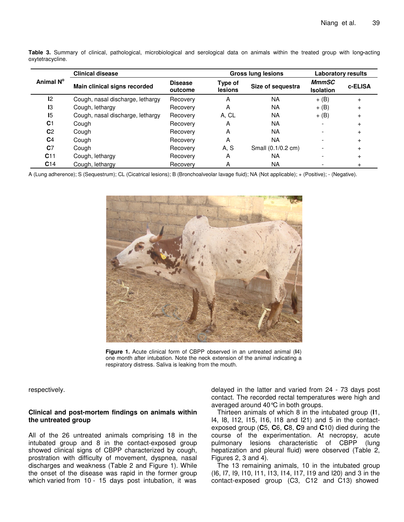|                 | <b>Clinical disease</b>          |                           |                    | <b>Gross lung lesions</b> | <b>Laboratory results</b>        |           |
|-----------------|----------------------------------|---------------------------|--------------------|---------------------------|----------------------------------|-----------|
| Animal N°       | Main clinical signs recorded     | <b>Disease</b><br>outcome | Type of<br>lesions | Size of sequestra         | <b>MmmSC</b><br><b>Isolation</b> | c-ELISA   |
| 12              | Cough, nasal discharge, lethargy | Recovery                  | A                  | <b>NA</b>                 | $+$ (B)                          | $+$       |
| 13              | Cough, lethargy                  | Recovery                  | A                  | <b>NA</b>                 | $+$ (B)                          | $\ddot{}$ |
| 15              | Cough, nasal discharge, lethargy | Recovery                  | A, CL              | <b>NA</b>                 | $+$ (B)                          | $\ddot{}$ |
| C <sub>1</sub>  | Cough                            | Recovery                  | A                  | <b>NA</b>                 |                                  |           |
| C <sub>2</sub>  | Cough                            | Recovery                  | A                  | <b>NA</b>                 |                                  |           |
| C <sub>4</sub>  | Cough                            | Recovery                  | A                  | <b>NA</b>                 |                                  | $\ddot{}$ |
| C <sub>7</sub>  | Cough                            | Recovery                  | A.S                | Small (0.1/0.2 cm)        |                                  | $\ddot{}$ |
| C <sub>11</sub> | Cough, lethargy                  | Recovery                  | A                  | <b>NA</b>                 |                                  |           |
| C <sub>14</sub> | Cough, lethargy                  | Recovery                  | A                  | <b>NA</b>                 |                                  |           |

**Table 3.** Summary of clinical, pathological, microbiological and serological data on animals within the treated group with long**-**acting oxytetracycline.

A (Lung adherence); S (Sequestrum); CL (Cicatrical lesions); B (Bronchoalveolar lavage fluid); NA (Not applicable); + (Positive); - (Negative).



**Figure 1.** Acute clinical form of CBPP observed in an untreated animal (**I**4) one month after intubation. Note the neck extension of the animal indicating a respiratory distress. Saliva is leaking from the mouth.

respectively.

## **Clinical and post-mortem findings on animals within the untreated group**

All of the 26 untreated animals comprising 18 in the intubated group and 8 in the contact-exposed group showed clinical signs of CBPP characterized by cough, prostration with difficulty of movement, dyspnea, nasal discharges and weakness (Table 2 and Figure 1). While the onset of the disease was rapid in the former group which varied from 10 - 15 days post intubation, it was

delayed in the latter and varied from 24 - 73 days post contact. The recorded rectal temperatures were high and averaged around 40°C in both groups.

Thirteen animals of which 8 in the intubated group (**I**1, I4, I8, I12, I15, I16, I18 and I21) and 5 in the contactexposed group (**C**5, **C**6, **C**8, **C**9 and **C**10) died during the course of the experimentation. At necropsy, acute pulmonary lesions characteristic of CBPP (lung hepatization and pleural fluid) were observed (Table 2, Figures 2, 3 and 4).

The 13 remaining animals, 10 in the intubated group (I6, I7, I9, I10, I11, I13, I14, I17, I19 and I20) and 3 in the contact-exposed group (C3, C12 and C13) showed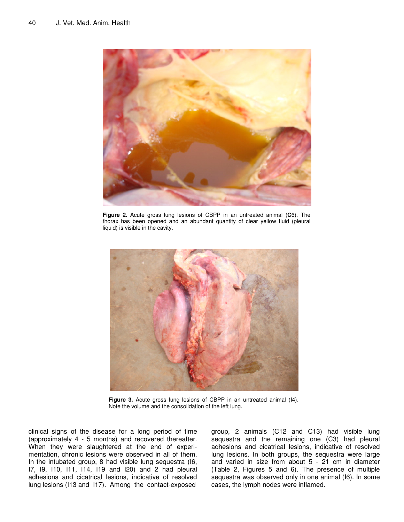

**Figure 2.** Acute gross lung lesions of CBPP in an untreated animal (**C**6). The thorax has been opened and an abundant quantity of clear yellow fluid (pleural liquid) is visible in the cavity.



**Figure 3.** Acute gross lung lesions of CBPP in an untreated animal (**I**4). Note the volume and the consolidation of the left lung.

clinical signs of the disease for a long period of time (approximately 4 - 5 months) and recovered thereafter. When they were slaughtered at the end of experimentation, chronic lesions were observed in all of them. In the intubated group, 8 had visible lung sequestra (I6, I7, I9, I10, I11, I14, I19 and I20) and 2 had pleural adhesions and cicatrical lesions, indicative of resolved lung lesions (I13 and I17). Among the contact-exposed group, 2 animals (C12 and C13) had visible lung sequestra and the remaining one (C3) had pleural adhesions and cicatrical lesions, indicative of resolved lung lesions. In both groups, the sequestra were large and varied in size from about 5 - 21 cm in diameter (Table 2, Figures 5 and 6). The presence of multiple sequestra was observed only in one animal (I6). In some cases, the lymph nodes were inflamed.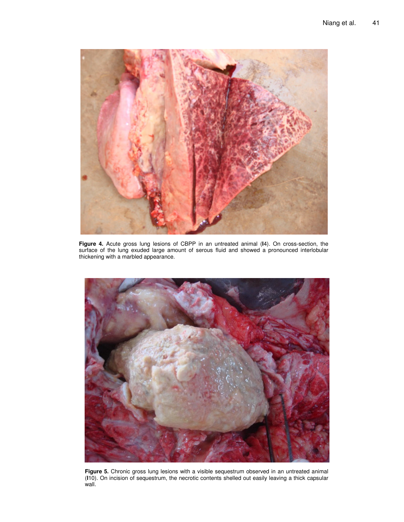

**Figure 4.** Acute gross lung lesions of CBPP in an untreated animal (**I**4). On cross-section, the surface of the lung exuded large amount of serous fluid and showed a pronounced interlobular thickening with a marbled appearance.



**Figure 5.** Chronic gross lung lesions with a visible sequestrum observed in an untreated animal (**I**10). On incision of sequestrum, the necrotic contents shelled out easily leaving a thick capsular wall.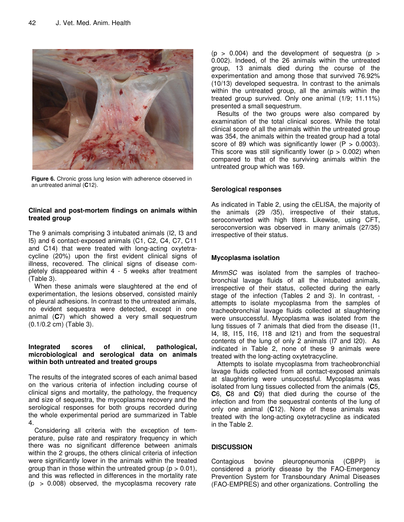

**Figure 6.** Chronic gross lung lesion with adherence observed in an untreated animal (**C**12).

# **Clinical and post-mortem findings on animals within treated group**

The 9 animals comprising 3 intubated animals (I2, I3 and I5) and 6 contact-exposed animals (C1, C2, C4, C7, C11 and C14) that were treated with long-acting oxytetracycline (20%) upon the first evident clinical signs of illness, recovered. The clinical signs of disease completely disappeared within 4 - 5 weeks after treatment (Table 3).

When these animals were slaughtered at the end of experimentation, the lesions observed, consisted mainly of pleural adhesions. In contrast to the untreated animals, no evident sequestra were detected, except in one animal (**C**7) which showed a very small sequestrum (0.1/0.2 cm) (Table 3).

## **Integrated scores of clinical, pathological, microbiological and serological data on animals within both untreated and treated groups**

The results of the integrated scores of each animal based on the various criteria of infection including course of clinical signs and mortality, the pathology, the frequency and size of sequestra, the mycoplasma recovery and the serological responses for both groups recorded during the whole experimental period are summarized in Table 4.

Considering all criteria with the exception of temperature, pulse rate and respiratory frequency in which there was no significant difference between animals within the 2 groups, the others clinical criteria of infection were significantly lower in the animals within the treated group than in those within the untreated group ( $p > 0.01$ ), and this was reflected in differences in the mortality rate  $(p > 0.008)$  observed, the mycoplasma recovery rate

 $(p > 0.004)$  and the development of sequestra  $(p > 0.004)$ 0.002). Indeed, of the 26 animals within the untreated group, 13 animals died during the course of the experimentation and among those that survived 76.92% (10/13) developed sequestra. In contrast to the animals within the untreated group, all the animals within the treated group survived. Only one animal (1/9; 11.11%) presented a small sequestrum.

Results of the two groups were also compared by examination of the total clinical scores. While the total clinical score of all the animals within the untreated group was 354, the animals within the treated group had a total score of 89 which was significantly lower  $(P > 0.0003)$ . This score was still significantly lower ( $p > 0.002$ ) when compared to that of the surviving animals within the untreated group which was 169.

## **Serological responses**

As indicated in Table 2, using the cELISA, the majority of the animals (29 /35), irrespective of their status, seroconverted with high titers. Likewise, using CFT, seroconversion was observed in many animals (27/35) irrespective of their status.

# **Mycoplasma isolation**

*MmmSC* was isolated from the samples of tracheobronchial lavage fluids of all the intubated animals, irrespective of their status, collected during the early stage of the infection (Tables 2 and 3). In contrast, attempts to isolate mycoplasma from the samples of tracheobronchial lavage fluids collected at slaughtering were unsuccessful. Mycoplasma was isolated from the lung tissues of 7 animals that died from the disease (I1, I4, I8, I15, I16, I18 and I21) and from the sequestral contents of the lung of only 2 animals (I7 and I20). As indicated in Table 2, none of these 9 animals were treated with the long-acting oxytetracycline.

Attempts to isolate mycoplasma from tracheobronchial lavage fluids collected from all contact-exposed animals at slaughtering were unsuccessful. Mycoplasma was isolated from lung tissues collected from the animals (**C**5, **C**6, **C**8 and **C**9) that died during the course of the infection and from the sequestral contents of the lung of only one animal (**C**12). None of these animals was treated with the long-acting oxytetracycline as indicated in the Table 2.

## **DISCUSSION**

Contagious bovine pleuropneumonia (CBPP) is considered a priority disease by the FAO-Emergency Prevention System for Transboundary Animal Diseases (FAO-EMPRES) and other organizations. Controlling the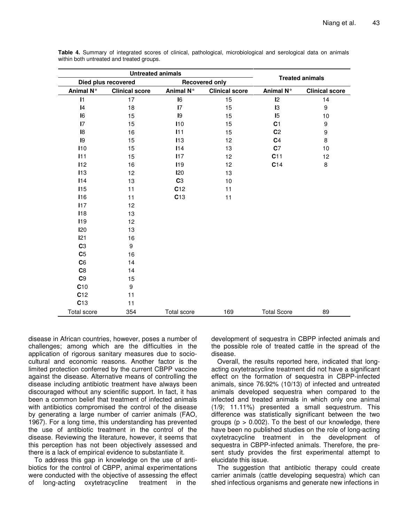|                     | <b>Untreated animals</b> |                |                       |                        |                       |  |
|---------------------|--------------------------|----------------|-----------------------|------------------------|-----------------------|--|
| Died plus recovered |                          |                | <b>Recovered only</b> | <b>Treated animals</b> |                       |  |
| Animal N°           | <b>Clinical score</b>    | Animal N°      | <b>Clinical score</b> | Animal N°              | <b>Clinical score</b> |  |
| $\mathbf{I}$        | 17                       | I6             | 15                    | 12                     | 14                    |  |
| $\vert 4$           | 18                       | $\mathsf{I}7$  | 15                    | 13                     | 9                     |  |
| I <sub>6</sub>      | 15                       | 19             | 15                    | 15                     | 10                    |  |
| $\overline{17}$     | 15                       | 110            | 15                    | C <sub>1</sub>         | 9                     |  |
| 18                  | 16                       | 111            | 15                    | C <sub>2</sub>         | 9                     |  |
| 19                  | 15                       | 113            | 12                    | C <sub>4</sub>         | 8                     |  |
| 110                 | 15                       | 114            | 13                    | C <sub>7</sub>         | 10                    |  |
| 111                 | 15                       | 117            | 12                    | C11                    | 12                    |  |
| 112                 | 16                       | <b>I19</b>     | 12                    | C14                    | 8                     |  |
| 113                 | 12                       | <b>I20</b>     | 13                    |                        |                       |  |
| 114                 | 13                       | C <sub>3</sub> | 10                    |                        |                       |  |
| 115                 | 11                       | C12            | 11                    |                        |                       |  |
| <b>I16</b>          | 11                       | C13            | 11                    |                        |                       |  |
| 117                 | 12                       |                |                       |                        |                       |  |
| <b>118</b>          | 13                       |                |                       |                        |                       |  |
| <b>I19</b>          | 12                       |                |                       |                        |                       |  |
| <b>120</b>          | 13                       |                |                       |                        |                       |  |
| 121                 | 16                       |                |                       |                        |                       |  |
| C <sub>3</sub>      | $\boldsymbol{9}$         |                |                       |                        |                       |  |
| C <sub>5</sub>      | 16                       |                |                       |                        |                       |  |
| C6                  | 14                       |                |                       |                        |                       |  |
| C8                  | 14                       |                |                       |                        |                       |  |
| C9                  | 15                       |                |                       |                        |                       |  |
| C10                 | $\boldsymbol{9}$         |                |                       |                        |                       |  |
| C12                 | 11                       |                |                       |                        |                       |  |
| C13                 | 11                       |                |                       |                        |                       |  |
| Total score         | 354                      | Total score    | 169                   | <b>Total Score</b>     | 89                    |  |

**Table 4.** Summary of integrated scores of clinical, pathological, microbiological and serological data on animals within both untreated and treated groups.

disease in African countries, however, poses a number of challenges; among which are the difficulties in the application of rigorous sanitary measures due to sociocultural and economic reasons. Another factor is the limited protection conferred by the current CBPP vaccine against the disease. Alternative means of controlling the disease including antibiotic treatment have always been discouraged without any scientific support. In fact, it has been a common belief that treatment of infected animals with antibiotics compromised the control of the disease by generating a large number of carrier animals (FAO, 1967). For a long time, this understanding has prevented the use of antibiotic treatment in the control of the disease. Reviewing the literature, however, it seems that this perception has not been objectively assessed and there is a lack of empirical evidence to substantiate it.

To address this gap in knowledge on the use of antibiotics for the control of CBPP, animal experimentations were conducted with the objective of assessing the effect of long-acting oxytetracycline treatment in the

development of sequestra in CBPP infected animals and the possible role of treated cattle in the spread of the disease.

Overall, the results reported here, indicated that longacting oxytetracycline treatment did not have a significant effect on the formation of sequestra in CBPP-infected animals, since 76.92% (10/13) of infected and untreated animals developed sequestra when compared to the infected and treated animals in which only one animal (1/9; 11.11%) presented a small sequestrum. This difference was statistically significant between the two groups ( $p > 0.002$ ). To the best of our knowledge, there have been no published studies on the role of long-acting oxytetracycline treatment in the development of sequestra in CBPP-infected animals. Therefore, the present study provides the first experimental attempt to elucidate this issue.

The suggestion that antibiotic therapy could create carrier animals (cattle developing sequestra) which can shed infectious organisms and generate new infections in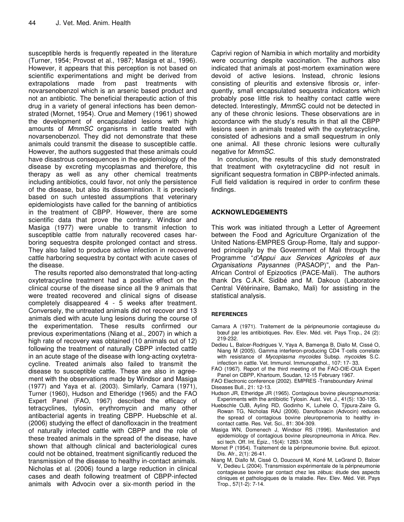susceptible herds is frequently repeated in the literature (Turner, 1954; Provost et al., 1987; Masiga et al., 1996). However, it appears that this perception is not based on scientific experimentations and might be derived from extrapolations made from past treatments with novarsenobenzol which is an arsenic based product and not an antibiotic. The beneficial therapeutic action of this drug in a variety of general infections has been demonstrated (Mornet, 1954). Orue and Memery (1961) showed the development of encapsulated lesions with high amounts of *MmmSC* organisms in cattle treated with novarsenobenzol. They did not demonstrate that these animals could transmit the disease to susceptible cattle. However, the authors suggested that these animals could have disastrous consequences in the epidemiology of the disease by excreting mycoplasmas and therefore, this therapy as well as any other chemical treatments including antibiotics, could favor, not only the persistence of the disease, but also its dissemination. It is precisely based on such untested assumptions that veterinary epidemiologists have called for the banning of antibiotics in the treatment of CBPP. However, there are some scientific data that prove the contrary. Windsor and Masiga (1977) were unable to transmit infection to susceptible cattle from naturally recovered cases harboring sequestra despite prolonged contact and stress. They also failed to produce active infection in recovered cattle harboring sequestra by contact with acute cases of the disease.

The results reported also demonstrated that long-acting oxytetracycline treatment had a positive effect on the clinical course of the disease since all the 9 animals that were treated recovered and clinical signs of disease completely disappeared 4 - 5 weeks after treatment. Conversely, the untreated animals did not recover and 13 animals died with acute lung lesions during the course of the experimentation. These results confirmed our previous experimentations (Niang et al., 2007) in which a high rate of recovery was obtained (10 animals out of 12) following the treatment of naturally CBPP infected cattle in an acute stage of the disease with long-acting oxytetracycline. Treated animals also failed to transmit the disease to susceptible cattle. These are also in agreement with the observations made by Windsor and Masiga (1977) and Yaya et al. (2003). Similarly, Camara (1971), Turner (1960), Hudson and Etheridge (1965) and the FAO Expert Panel (FAO, 1967) described the efficacy of tetracyclines, tylosin, erythromycin and many other antibacterial agents in treating CBPP. Huebschle et al. (2006) studying the effect of danofloxacin in the treatment of naturally infected cattle with CBPP and the role of these treated animals in the spread of the disease, have shown that although clinical and bacteriological cures could not be obtained, treatment significantly reduced the transmission of the disease to healthy in-contact animals. Nicholas et al. (2006) found a large reduction in clinical cases and death following treatment of CBPP-infected animals with Advocin over a six-month period in the

Caprivi region of Namibia in which mortality and morbidity were occurring despite vaccination. The authors also indicated that animals at post-mortem examination were devoid of active lesions. Instead, chronic lesions consisting of pleuritis and extensive fibrosis or, inferquently, small encapsulated sequestra indicators which probably pose little risk to healthy contact cattle were detected. Interestingly, *Mmm*SC could not be detected in any of these chronic lesions. These observations are in accordance with the study's results in that all the CBPP lesions seen in animals treated with the oxytetracycline, consisted of adhesions and a small sequestrum in only one animal. All these chronic lesions were culturally negative for *MmmSC*.

In conclusion, the results of this study demonstrated that treatment with oxytetracycline did not result in significant sequestra formation in CBPP-infected animals. Full field validation is required in order to confirm these findings.

## **ACKNOWLEDGEMENTS**

This work was initiated through a Letter of Agreement between the Food and Agriculture Organization of the United Nations-EMPRES Group-Rome, Italy and supported principally by the Government of Mali through the Programme "*d'Appui aux Services Agricoles et aux Organisations Paysannes* (PASAOP)", and the Pan-African Control of Epizootics (PACE-Mali). The authors thank Drs C.A.K. Sidibé and M. Dakouo (Laboratoire Central Vétérinaire, Bamako, Mali) for assisting in the statistical analysis.

## **REFERENCES**

- Camara A (1971). Traitement de la péripneumonie contagieuse du bœuf par les antibiotiques. Rev. Elev. Méd. vét. Pays Trop., 24 (2): 219-232.
- Dedieu L, Balcer-Rodrigues V, Yaya A, Bamenga B, Diallo M, Cissé O, Niang M (2005). Gamma interferon-producing CD4 T-cells correlate with resistance of *Mycoplasma mycoides* Subsp. *mycoide*s S.C. infection in cattle. Vet. Immunol. Immunopathol., 107: 17- 33.
- FAO (1967). Report of the third meeting of the FAO-OIE-OUA Expert Panel on CBPP, Khartoum, Soudan, 12-15 February 1967.
- FAO Electronic conference (2002). EMPRES -Transboundary Animal Diseases Bull., 21: 12-13.
- Hudson JR, Etheridge JR (1965). Contagious bovine pleuropneumonia: Experiments with the antibiotic Tylosin. Aust. Vet. J., 41(5): 130-135.
- Huebschle OJB, Ayling RD, Godinho K, Luhele O, Tjipura-Zaire G, Rowan TG, Nicholas RAJ (2006). Danofloxacin (Advocin) reduces the spread of contagious bovine pleuropnemonia to healthy incontact cattle. Res. Vet. Sci., 81: 304-309.
- Masiga WN, Domenech J, Windsor RS (1996). Manifestation and epidemiology of contagious bovine pleuropneumonia in Africa. Rev. sci tech. Off. Int. Epiz., 15(4): 1283-1308.
- Mornet P (1954). Traitement de la péripneumonie bovine. Bull. epizoot. Dis. Afr., 2(1): 26-41.
- Niang M, Diallo M, Cissé O, Doucouré M, Koné M, LeGrand D, Balcer V, Dedieu L (2004). Transmission expérimentale de la péripneumonie contagieuse bovine par contact chez les zébus: étude des aspects cliniques et pathologiques de la maladie. Rev. Elev. Méd. Vét. Pays Trop., 57(1-2): 7-14.